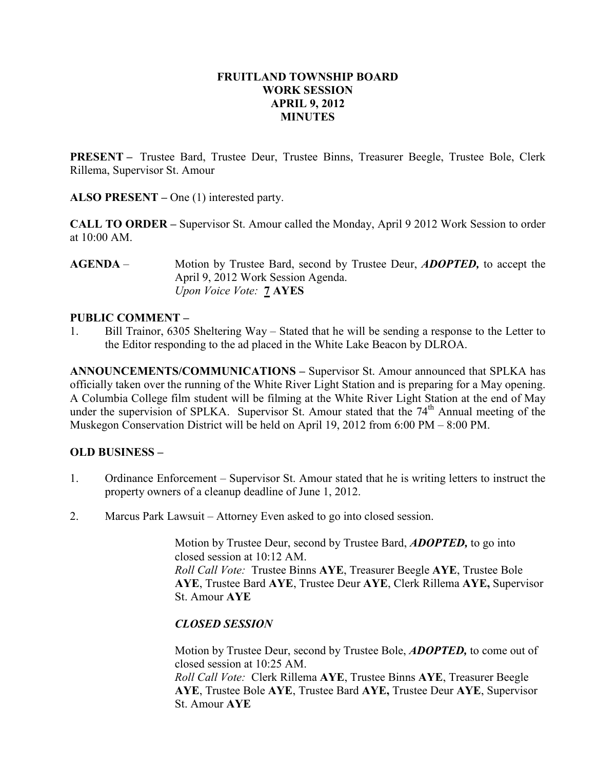#### FRUITLAND TOWNSHIP BOARD WORK SESSION APRIL 9, 2012 **MINUTES**

PRESENT – Trustee Bard, Trustee Deur, Trustee Binns, Treasurer Beegle, Trustee Bole, Clerk Rillema, Supervisor St. Amour

ALSO PRESENT – One (1) interested party.

CALL TO ORDER – Supervisor St. Amour called the Monday, April 9 2012 Work Session to order at 10:00 AM.

AGENDA – Motion by Trustee Bard, second by Trustee Deur, *ADOPTED*, to accept the April 9, 2012 Work Session Agenda. Upon Voice Vote: 7 AYES

#### PUBLIC COMMENT –

1. Bill Trainor, 6305 Sheltering Way – Stated that he will be sending a response to the Letter to the Editor responding to the ad placed in the White Lake Beacon by DLROA.

ANNOUNCEMENTS/COMMUNICATIONS – Supervisor St. Amour announced that SPLKA has officially taken over the running of the White River Light Station and is preparing for a May opening. A Columbia College film student will be filming at the White River Light Station at the end of May under the supervision of SPLKA. Supervisor St. Amour stated that the  $74<sup>th</sup>$  Annual meeting of the Muskegon Conservation District will be held on April 19, 2012 from 6:00 PM – 8:00 PM.

### OLD BUSINESS –

- 1. Ordinance Enforcement Supervisor St. Amour stated that he is writing letters to instruct the property owners of a cleanup deadline of June 1, 2012.
- 2. Marcus Park Lawsuit Attorney Even asked to go into closed session.

Motion by Trustee Deur, second by Trustee Bard, **ADOPTED**, to go into closed session at 10:12 AM. Roll Call Vote: Trustee Binns AYE, Treasurer Beegle AYE, Trustee Bole AYE, Trustee Bard AYE, Trustee Deur AYE, Clerk Rillema AYE, Supervisor St. Amour AYE

### CLOSED SESSION

Motion by Trustee Deur, second by Trustee Bole, **ADOPTED**, to come out of closed session at 10:25 AM.

Roll Call Vote: Clerk Rillema AYE, Trustee Binns AYE, Treasurer Beegle AYE, Trustee Bole AYE, Trustee Bard AYE, Trustee Deur AYE, Supervisor St. Amour AYE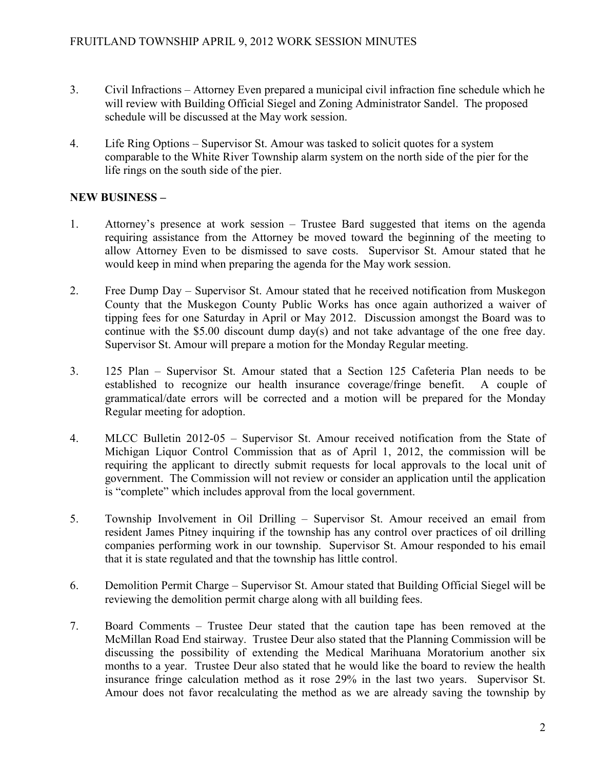- 3. Civil Infractions Attorney Even prepared a municipal civil infraction fine schedule which he will review with Building Official Siegel and Zoning Administrator Sandel. The proposed schedule will be discussed at the May work session.
- 4. Life Ring Options Supervisor St. Amour was tasked to solicit quotes for a system comparable to the White River Township alarm system on the north side of the pier for the life rings on the south side of the pier.

# NEW BUSINESS –

- 1. Attorney's presence at work session Trustee Bard suggested that items on the agenda requiring assistance from the Attorney be moved toward the beginning of the meeting to allow Attorney Even to be dismissed to save costs. Supervisor St. Amour stated that he would keep in mind when preparing the agenda for the May work session.
- 2. Free Dump Day Supervisor St. Amour stated that he received notification from Muskegon County that the Muskegon County Public Works has once again authorized a waiver of tipping fees for one Saturday in April or May 2012. Discussion amongst the Board was to continue with the \$5.00 discount dump day(s) and not take advantage of the one free day. Supervisor St. Amour will prepare a motion for the Monday Regular meeting.
- 3. 125 Plan Supervisor St. Amour stated that a Section 125 Cafeteria Plan needs to be established to recognize our health insurance coverage/fringe benefit. A couple of grammatical/date errors will be corrected and a motion will be prepared for the Monday Regular meeting for adoption.
- 4. MLCC Bulletin 2012-05 Supervisor St. Amour received notification from the State of Michigan Liquor Control Commission that as of April 1, 2012, the commission will be requiring the applicant to directly submit requests for local approvals to the local unit of government. The Commission will not review or consider an application until the application is "complete" which includes approval from the local government.
- 5. Township Involvement in Oil Drilling Supervisor St. Amour received an email from resident James Pitney inquiring if the township has any control over practices of oil drilling companies performing work in our township. Supervisor St. Amour responded to his email that it is state regulated and that the township has little control.
- 6. Demolition Permit Charge Supervisor St. Amour stated that Building Official Siegel will be reviewing the demolition permit charge along with all building fees.
- 7. Board Comments Trustee Deur stated that the caution tape has been removed at the McMillan Road End stairway. Trustee Deur also stated that the Planning Commission will be discussing the possibility of extending the Medical Marihuana Moratorium another six months to a year. Trustee Deur also stated that he would like the board to review the health insurance fringe calculation method as it rose 29% in the last two years. Supervisor St. Amour does not favor recalculating the method as we are already saving the township by